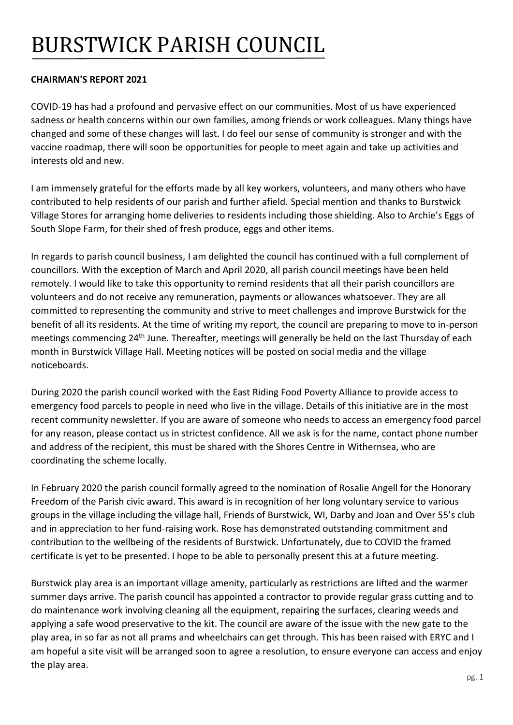## BURSTWICK PARISH COUNCIL

## **CHAIRMAN'S REPORT 2021**

COVID-19 has had a profound and pervasive effect on our communities. Most of us have experienced sadness or health concerns within our own families, among friends or work colleagues. Many things have changed and some of these changes will last. I do feel our sense of community is stronger and with the vaccine roadmap, there will soon be opportunities for people to meet again and take up activities and interests old and new.

I am immensely grateful for the efforts made by all key workers, volunteers, and many others who have contributed to help residents of our parish and further afield. Special mention and thanks to Burstwick Village Stores for arranging home deliveries to residents including those shielding. Also to Archie's Eggs of South Slope Farm, for their shed of fresh produce, eggs and other items.

In regards to parish council business, I am delighted the council has continued with a full complement of councillors. With the exception of March and April 2020, all parish council meetings have been held remotely. I would like to take this opportunity to remind residents that all their parish councillors are volunteers and do not receive any remuneration, payments or allowances whatsoever. They are all committed to representing the community and strive to meet challenges and improve Burstwick for the benefit of all its residents. At the time of writing my report, the council are preparing to move to in-person meetings commencing 24<sup>th</sup> June. Thereafter, meetings will generally be held on the last Thursday of each month in Burstwick Village Hall. Meeting notices will be posted on social media and the village noticeboards.

During 2020 the parish council worked with the East Riding Food Poverty Alliance to provide access to emergency food parcels to people in need who live in the village. Details of this initiative are in the most recent community newsletter. If you are aware of someone who needs to access an emergency food parcel for any reason, please contact us in strictest confidence. All we ask is for the name, contact phone number and address of the recipient, this must be shared with the Shores Centre in Withernsea, who are coordinating the scheme locally.

In February 2020 the parish council formally agreed to the nomination of Rosalie Angell for the Honorary Freedom of the Parish civic award. This award is in recognition of her long voluntary service to various groups in the village including the village hall, Friends of Burstwick, WI, Darby and Joan and Over 55's club and in appreciation to her fund-raising work. Rose has demonstrated outstanding commitment and contribution to the wellbeing of the residents of Burstwick. Unfortunately, due to COVID the framed certificate is yet to be presented. I hope to be able to personally present this at a future meeting.

Burstwick play area is an important village amenity, particularly as restrictions are lifted and the warmer summer days arrive. The parish council has appointed a contractor to provide regular grass cutting and to do maintenance work involving cleaning all the equipment, repairing the surfaces, clearing weeds and applying a safe wood preservative to the kit. The council are aware of the issue with the new gate to the play area, in so far as not all prams and wheelchairs can get through. This has been raised with ERYC and I am hopeful a site visit will be arranged soon to agree a resolution, to ensure everyone can access and enjoy the play area.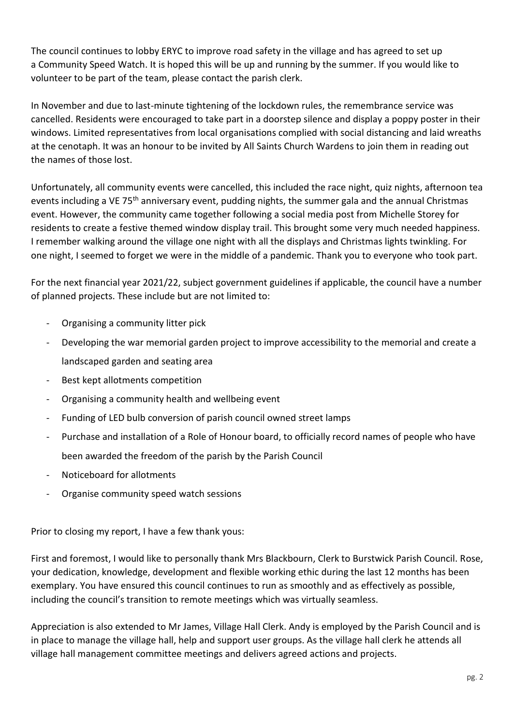The council continues to lobby ERYC to improve road safety in the village and has agreed to set up a Community Speed Watch. It is hoped this will be up and running by the summer. If you would like to volunteer to be part of the team, please contact the parish clerk.

In November and due to last-minute tightening of the lockdown rules, the remembrance service was cancelled. Residents were encouraged to take part in a doorstep silence and display a poppy poster in their windows. Limited representatives from local organisations complied with social distancing and laid wreaths at the cenotaph. It was an honour to be invited by All Saints Church Wardens to join them in reading out the names of those lost.

Unfortunately, all community events were cancelled, this included the race night, quiz nights, afternoon tea events including a VE 75<sup>th</sup> anniversary event, pudding nights, the summer gala and the annual Christmas event. However, the community came together following a social media post from Michelle Storey for residents to create a festive themed window display trail. This brought some very much needed happiness. I remember walking around the village one night with all the displays and Christmas lights twinkling. For one night, I seemed to forget we were in the middle of a pandemic. Thank you to everyone who took part.

For the next financial year 2021/22, subject government guidelines if applicable, the council have a number of planned projects. These include but are not limited to:

- Organising a community litter pick
- Developing the war memorial garden project to improve accessibility to the memorial and create a landscaped garden and seating area
- Best kept allotments competition
- Organising a community health and wellbeing event
- Funding of LED bulb conversion of parish council owned street lamps
- Purchase and installation of a Role of Honour board, to officially record names of people who have been awarded the freedom of the parish by the Parish Council
- Noticeboard for allotments
- Organise community speed watch sessions

Prior to closing my report, I have a few thank yous:

First and foremost, I would like to personally thank Mrs Blackbourn, Clerk to Burstwick Parish Council. Rose, your dedication, knowledge, development and flexible working ethic during the last 12 months has been exemplary. You have ensured this council continues to run as smoothly and as effectively as possible, including the council's transition to remote meetings which was virtually seamless.

Appreciation is also extended to Mr James, Village Hall Clerk. Andy is employed by the Parish Council and is in place to manage the village hall, help and support user groups. As the village hall clerk he attends all village hall management committee meetings and delivers agreed actions and projects.